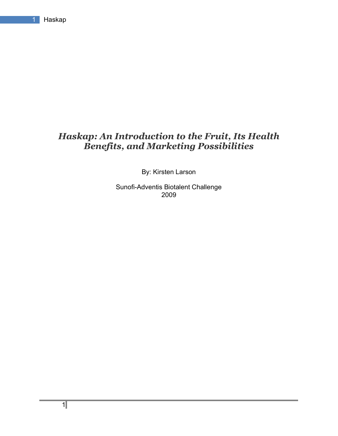## *Haskap: An Introduction to the Fruit, Its Health Benefits, and Marketing Possibilities*

By: Kirsten Larson

Sunofi-Adventis Biotalent Challenge 2009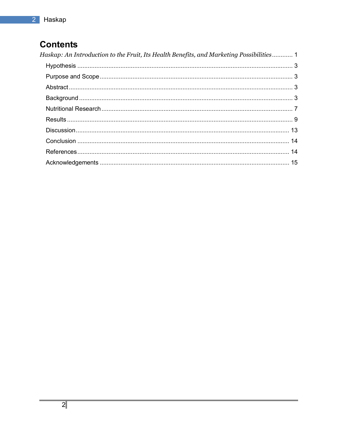# **Contents**

| Haskap: An Introduction to the Fruit, Its Health Benefits, and Marketing Possibilities 1 |
|------------------------------------------------------------------------------------------|
|                                                                                          |
|                                                                                          |
|                                                                                          |
|                                                                                          |
|                                                                                          |
|                                                                                          |
|                                                                                          |
|                                                                                          |
|                                                                                          |
|                                                                                          |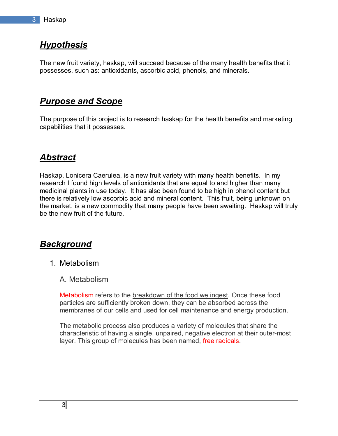## *Hypothesis*

The new fruit variety, haskap, will succeed because of the many health benefits that it possesses, such as: antioxidants, ascorbic acid, phenols, and minerals.

## *Purpose and Scope*

The purpose of this project is to research haskap for the health benefits and marketing capabilities that it possesses.

# *Abstract*

Haskap, Lonicera Caerulea, is a new fruit variety with many health benefits. In my research I found high levels of antioxidants that are equal to and higher than many medicinal plants in use today. It has also been found to be high in phenol content but there is relatively low ascorbic acid and mineral content. This fruit, being unknown on the market, is a new commodity that many people have been awaiting. Haskap will truly be the new fruit of the future.

## *Background*

- 1. Metabolism
	- A. Metabolism

Metabolism refers to the breakdown of the food we ingest. Once these food particles are sufficiently broken down, they can be absorbed across the membranes of our cells and used for cell maintenance and energy production.

The metabolic process also produces a variety of molecules that share the characteristic of having a single, unpaired, negative electron at their outer-most layer. This group of molecules has been named, free radicals.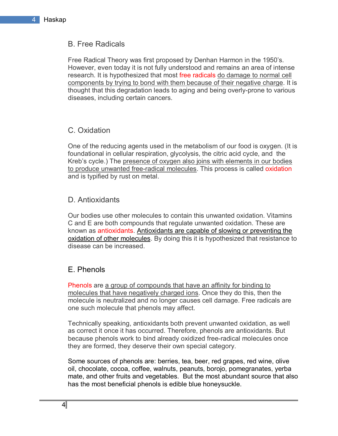## B. Free Radicals

Free Radical Theory was first proposed by Denhan Harmon in the 1950's. However, even today it is not fully understood and remains an area of intense research. It is hypothesized that most free radicals do damage to normal cell components by trying to bond with them because of their negative charge. It is thought that this degradation leads to aging and being overly-prone to various diseases, including certain cancers.

#### C. Oxidation

One of the reducing agents used in the metabolism of our food is oxygen. (It is foundational in cellular respiration, glycolysis, the citric acid cycle, and the Kreb's cycle.) The presence of oxygen also joins with elements in our bodies to produce unwanted free-radical molecules. This process is called oxidation and is typified by rust on metal.

## D. Antioxidants

Our bodies use other molecules to contain this unwanted oxidation. Vitamins C and E are both compounds that regulate unwanted oxidation. These are known as antioxidants. Antioxidants are capable of slowing or preventing the oxidation of other molecules. By doing this it is hypothesized that resistance to disease can be increased.

## E. Phenols

Phenols are a group of compounds that have an affinity for binding to molecules that have negatively charged ions. Once they do this, then the molecule is neutralized and no longer causes cell damage. Free radicals are one such molecule that phenols may affect.

Technically speaking, antioxidants both prevent unwanted oxidation, as well as correct it once it has occurred. Therefore, phenols are antioxidants. But because phenols work to bind already oxidized free-radical molecules once they are formed, they deserve their own special category.

Some sources of phenols are: berries, tea, beer, red grapes, red wine, olive oil, chocolate, cocoa, coffee, walnuts, peanuts, borojo, pomegranates, yerba mate, and other fruits and vegetables. But the most abundant source that also has the most beneficial phenols is edible blue honeysuckle.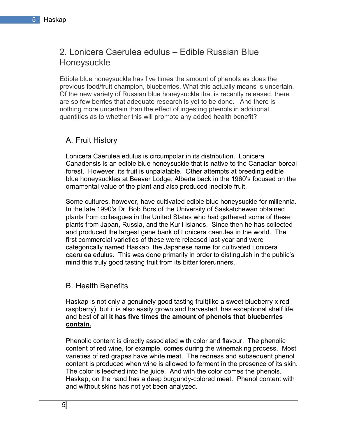## 2. Lonicera Caerulea edulus – Edible Russian Blue Honeysuckle

Edible blue honeysuckle has five times the amount of phenols as does the previous food/fruit champion, blueberries. What this actually means is uncertain. Of the new variety of Russian blue honeysuckle that is recently released, there are so few berries that adequate research is yet to be done. And there is nothing more uncertain than the effect of ingesting phenols in additional quantities as to whether this will promote any added health benefit?

## A. Fruit History

Lonicera Caerulea edulus is circumpolar in its distribution. Lonicera Canadensis is an edible blue honeysuckle that is native to the Canadian boreal forest. However, its fruit is unpalatable. Other attempts at breeding edible blue honeysuckles at Beaver Lodge, Alberta back in the 1960ís focused on the ornamental value of the plant and also produced inedible fruit.

Some cultures, however, have cultivated edible blue honeysuckle for millennia. In the late 1990ís Dr. Bob Bors of the University of Saskatchewan obtained plants from colleagues in the United States who had gathered some of these plants from Japan, Russia, and the Kuril Islands. Since then he has collected and produced the largest gene bank of Lonicera caerulea in the world. The first commercial varieties of these were released last year and were categorically named Haskap, the Japanese name for cultivated Lonicera caerulea edulus. This was done primarily in order to distinguish in the public's mind this truly good tasting fruit from its bitter forerunners.

#### B. Health Benefits

Haskap is not only a genuinely good tasting fruit(like a sweet blueberry x red raspberry), but it is also easily grown and harvested, has exceptional shelf life, and best of all **it has five times the amount of phenols that blueberries contain.**

Phenolic content is directly associated with color and flavour. The phenolic content of red wine, for example, comes during the winemaking process. Most varieties of red grapes have white meat. The redness and subsequent phenol content is produced when wine is allowed to ferment in the presence of its skin. The color is leeched into the juice. And with the color comes the phenols. Haskap, on the hand has a deep burgundy-colored meat. Phenol content with and without skins has not yet been analyzed.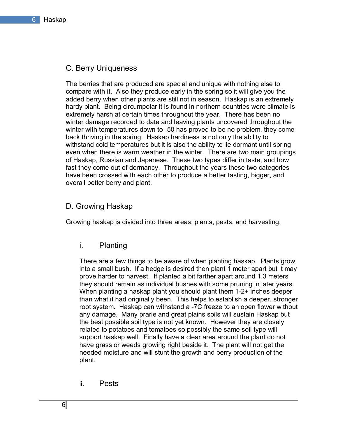#### C. Berry Uniqueness

The berries that are produced are special and unique with nothing else to compare with it. Also they produce early in the spring so it will give you the added berry when other plants are still not in season. Haskap is an extremely hardy plant. Being circumpolar it is found in northern countries were climate is extremely harsh at certain times throughout the year. There has been no winter damage recorded to date and leaving plants uncovered throughout the winter with temperatures down to -50 has proved to be no problem, they come back thriving in the spring. Haskap hardiness is not only the ability to withstand cold temperatures but it is also the ability to lie dormant until spring even when there is warm weather in the winter. There are two main groupings of Haskap, Russian and Japanese. These two types differ in taste, and how fast they come out of dormancy. Throughout the years these two categories have been crossed with each other to produce a better tasting, bigger, and overall better berry and plant.

#### D. Growing Haskap

Growing haskap is divided into three areas: plants, pests, and harvesting.

i. Planting

There are a few things to be aware of when planting haskap. Plants grow into a small bush. If a hedge is desired then plant 1 meter apart but it may prove harder to harvest. If planted a bit farther apart around 1.3 meters they should remain as individual bushes with some pruning in later years. When planting a haskap plant you should plant them 1-2+ inches deeper than what it had originally been. This helps to establish a deeper, stronger root system. Haskap can withstand a -7C freeze to an open flower without any damage. Many prarie and great plains soils will sustain Haskap but the best possible soil type is not yet known. However they are closely related to potatoes and tomatoes so possibly the same soil type will support haskap well. Finally have a clear area around the plant do not have grass or weeds growing right beside it. The plant will not get the needed moisture and will stunt the growth and berry production of the plant.

ii. Pests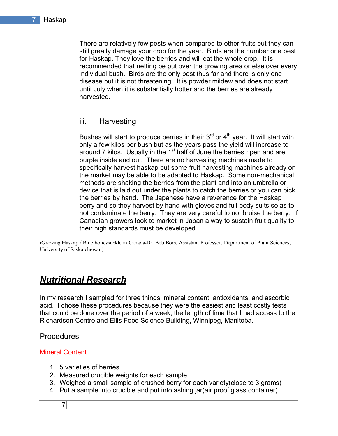There are relatively few pests when compared to other fruits but they can still greatly damage your crop for the year. Birds are the number one pest for Haskap. They love the berries and will eat the whole crop. It is recommended that netting be put over the growing area or else over every individual bush. Birds are the only pest thus far and there is only one disease but it is not threatening. It is powder mildew and does not start until July when it is substantially hotter and the berries are already harvested.

#### iii. Harvesting

Bushes will start to produce berries in their  $3<sup>rd</sup>$  or  $4<sup>th</sup>$  year. It will start with only a few kilos per bush but as the years pass the yield will increase to around 7 kilos. Usually in the 1<sup>st</sup> half of June the berries ripen and are purple inside and out. There are no harvesting machines made to specifically harvest haskap but some fruit harvesting machines already on the market may be able to be adapted to Haskap. Some non-mechanical methods are shaking the berries from the plant and into an umbrella or device that is laid out under the plants to catch the berries or you can pick the berries by hand. The Japanese have a reverence for the Haskap berry and so they harvest by hand with gloves and full body suits so as to not contaminate the berry. They are very careful to not bruise the berry. If Canadian growers look to market in Japan a way to sustain fruit quality to their high standards must be developed.

(Growing Haskap / Blue honeysuckle in Canada-Dr. Bob Bors, Assistant Professor, Department of Plant Sciences, University of Saskatchewan)

## *Nutritional Research*

In my research I sampled for three things: mineral content, antioxidants, and ascorbic acid. I chose these procedures because they were the easiest and least costly tests that could be done over the period of a week, the length of time that I had access to the Richardson Centre and Ellis Food Science Building, Winnipeg, Manitoba.

#### Procedures

#### Mineral Content

- 1. 5 varieties of berries
- 2. Measured crucible weights for each sample
- 3. Weighed a small sample of crushed berry for each variety(close to 3 grams)
- 4. Put a sample into crucible and put into ashing jar(air proof glass container)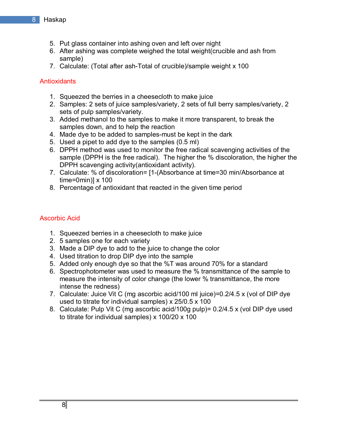- 5. Put glass container into ashing oven and left over night
- 6. After ashing was complete weighed the total weight(crucible and ash from sample)
- 7. Calculate: (Total after ash-Total of crucible)/sample weight x 100

### **Antioxidants**

- 1. Squeezed the berries in a cheesecloth to make juice
- 2. Samples: 2 sets of juice samples/variety, 2 sets of full berry samples/variety, 2 sets of pulp samples/variety.
- 3. Added methanol to the samples to make it more transparent, to break the samples down, and to help the reaction
- 4. Made dye to be added to samples-must be kept in the dark
- 5. Used a pipet to add dye to the samples (0.5 ml)
- 6. DPPH method was used to monitor the free radical scavenging activities of the sample (DPPH is the free radical). The higher the % discoloration, the higher the DPPH scavenging activity(antioxidant activity).
- 7. Calculate: % of discoloration= [1-(Absorbance at time=30 min/Absorbance at  $time=0$ min) $1 \times 100$
- 8. Percentage of antioxidant that reacted in the given time period

#### Ascorbic Acid

- 1. Squeezed berries in a cheesecloth to make juice
- 2. 5 samples one for each variety
- 3. Made a DIP dye to add to the juice to change the color
- 4. Used titration to drop DIP dye into the sample
- 5. Added only enough dye so that the %T was around 70% for a standard
- 6. Spectrophotometer was used to measure the % transmittance of the sample to measure the intensity of color change (the lower % transmittance, the more intense the redness)
- 7. Calculate: Juice Vit C (mg ascorbic acid/100 ml juice)=0.2/4.5 x (vol of DIP dye used to titrate for individual samples) x 25/0.5 x 100
- 8. Calculate: Pulp Vit C (mg ascorbic acid/100g pulp)= 0.2/4.5 x (vol DIP dye used to titrate for individual samples) x 100/20 x 100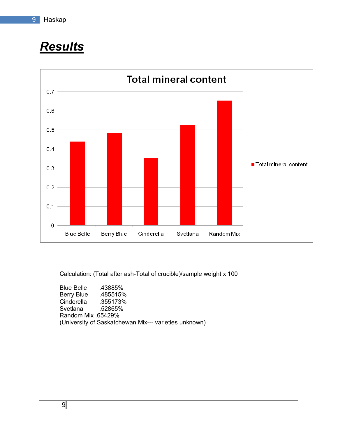# *Results*



Calculation: (Total after ash-Total of crucible)/sample weight x 100

Blue Belle .43885% Berry Blue .485515% Cinderella .355173% Svetlana .52865% Random Mix .65429% (University of Saskatchewan Mix--- varieties unknown)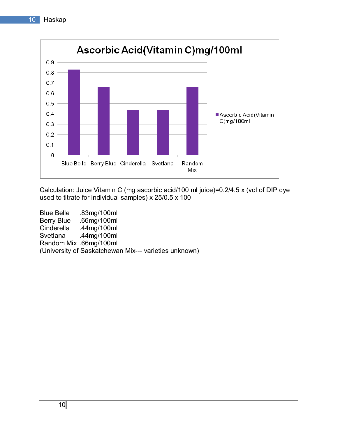

Calculation: Juice Vitamin C (mg ascorbic acid/100 ml juice)=0.2/4.5 x (vol of DIP dye used to titrate for individual samples) x 25/0.5 x 100

Blue Belle .83mg/100ml Berry Blue .66mg/100ml Cinderella .44mg/100ml Svetlana .44mg/100ml Random Mix .66mg/100ml (University of Saskatchewan Mix--- varieties unknown)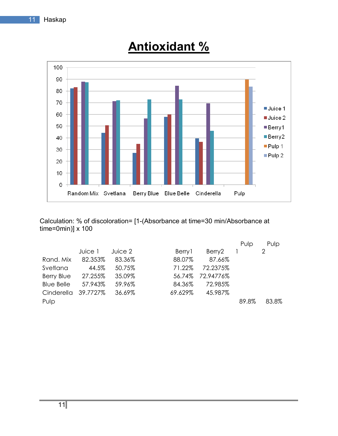

# **Antioxidant %**

Calculation: % of discoloration= [1-(Absorbance at time=30 min/Absorbance at time=0min)] x 100

|                   |          |         |         |           | Pulp  | Pulp  |
|-------------------|----------|---------|---------|-----------|-------|-------|
|                   | Juice 1  | Juice 2 | Berry 1 | Berry2    |       | 2     |
| Rand, Mix         | 82.353%  | 83.36%  | 88.07%  | 87.66%    |       |       |
| Svetlana          | 44.5%    | 50.75%  | 71.22%  | 72.2375%  |       |       |
| Berry Blue        | 27.255%  | 35.09%  | 56.74%  | 72.94776% |       |       |
| <b>Blue Belle</b> | 57.943%  | 59.96%  | 84.36%  | 72.985%   |       |       |
| Cinderella        | 39.7727% | 36.69%  | 69.629% | 45.987%   |       |       |
| Pulp              |          |         |         |           | 89.8% | 83.8% |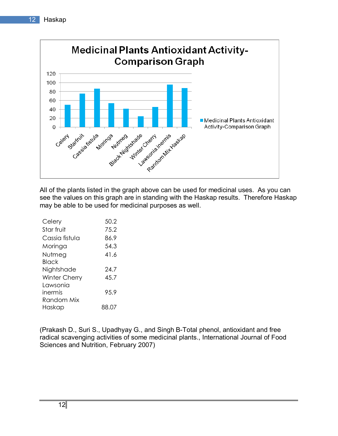

All of the plants listed in the graph above can be used for medicinal uses. As you can see the values on this graph are in standing with the Haskap results. Therefore Haskap may be able to be used for medicinal purposes as well.

| Celery         | 50.2  |
|----------------|-------|
| Star fruit     | 75.2  |
| Cassia fistula | 86.9  |
| Moringa        | 54.3  |
| Nutmeg         | 41.6  |
| Black          |       |
| Nightshade     | 24.7  |
| Winter Cherry  | 45.7  |
| I awsonia      |       |
| inermis        | 95.9  |
| Random Mix     |       |
| Haskap         | 88.07 |

(Prakash D., Suri S., Upadhyay G., and Singh B-Total phenol, antioxidant and free radical scavenging activities of some medicinal plants., International Journal of Food Sciences and Nutrition, February 2007)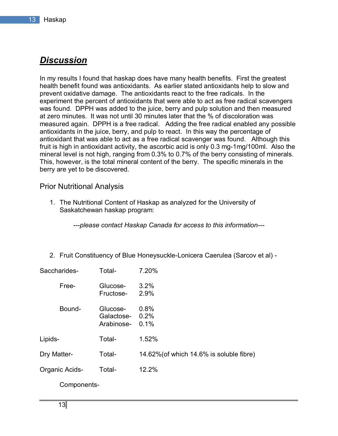## *Discussion*

In my results I found that haskap does have many health benefits. First the greatest health benefit found was antioxidants. As earlier stated antioxidants help to slow and prevent oxidative damage. The antioxidants react to the free radicals. In the experiment the percent of antioxidants that were able to act as free radical scavengers was found. DPPH was added to the juice, berry and pulp solution and then measured at zero minutes. It was not until 30 minutes later that the % of discoloration was measured again. DPPH is a free radical. Adding the free radical enabled any possible antioxidants in the juice, berry, and pulp to react. In this way the percentage of antioxidant that was able to act as a free radical scavenger was found. Although this fruit is high in antioxidant activity, the ascorbic acid is only 0.3 mg-1mg/100ml. Also the mineral level is not high, ranging from 0.3% to 0.7% of the berry consisting of minerals. This, however, is the total mineral content of the berry. The specific minerals in the berry are yet to be discovered.

#### Prior Nutritional Analysis

1. The Nutritional Content of Haskap as analyzed for the University of Saskatchewan haskap program:

*---please contact Haskap Canada for access to this information---* 

2. Fruit Constituency of Blue Honeysuckle-Lonicera Caerulea (Sarcov et al) -

| Saccharides-   | Total-                                    | 7.20%                                    |
|----------------|-------------------------------------------|------------------------------------------|
| Free-          | Glucose-<br>Fructose-                     | 3.2%<br>2.9%                             |
| Bound-         | Glucose-<br>Galactose- 0.2%<br>Arabinose- | 0.8%<br>0.1%                             |
| Lipids-        | Total-                                    | 1.52%                                    |
| Dry Matter-    | Total-                                    | 14.62% (of which 14.6% is soluble fibre) |
| Organic Acids- | Total-                                    | 12.2%                                    |
| Components-    |                                           |                                          |

13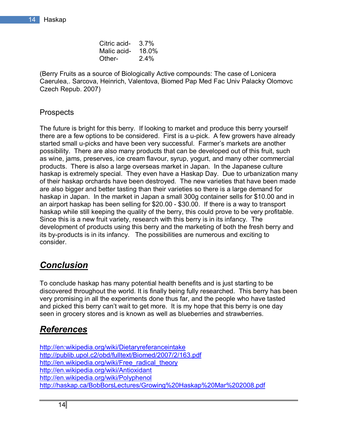| Citric acid- $3.7\%$ |      |
|----------------------|------|
| Malic acid- 18.0%    |      |
| Other-               | 2.4% |

(Berry Fruits as a source of Biologically Active compounds: The case of Lonicera Caerulea,. Sarcova, Heinrich, Valentova, Biomed Pap Med Fac Univ Palacky Olomovc Czech Repub. 2007)

## Prospects

The future is bright for this berry. If looking to market and produce this berry yourself there are a few options to be considered. First is a u-pick. A few growers have already started small u-picks and have been very successful. Farmer's markets are another possibility. There are also many products that can be developed out of this fruit, such as wine, jams, preserves, ice cream flavour, syrup, yogurt, and many other commercial products. There is also a large overseas market in Japan. In the Japanese culture haskap is extremely special. They even have a Haskap Day. Due to urbanization many of their haskap orchards have been destroyed. The new varieties that have been made are also bigger and better tasting than their varieties so there is a large demand for haskap in Japan. In the market in Japan a small 300g container sells for \$10.00 and in an airport haskap has been selling for \$20.00 - \$30.00. If there is a way to transport haskap while still keeping the quality of the berry, this could prove to be very profitable. Since this is a new fruit variety, research with this berry is in its infancy. The development of products using this berry and the marketing of both the fresh berry and its by-products is in its infancy. The possibilities are numerous and exciting to consider.

# *Conclusion*

To conclude haskap has many potential health benefits and is just starting to be discovered throughout the world. It is finally being fully researched. This berry has been very promising in all the experiments done thus far, and the people who have tasted and picked this berry can't wait to get more. It is my hope that this berry is one day seen in grocery stores and is known as well as blueberries and strawberries.

# *References*

http://en:wikipedia.org/wiki/Dietaryreferanceintake http://publib.upol.c2/obd/fulltext/Biomed/2007/2/163.pdf http://en.wikipedia.org/wiki/Free\_radical\_theory http://en.wikipedia.org/wiki/Antioxidant http://en.wikipedia.org/wiki/Polyphenol http://haskap.ca/BobBorsLectures/Growing%20Haskap%20Mar%202008.pdf